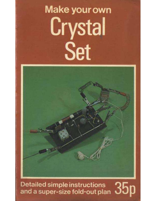# your own Make the Contract of the Contract of the Contract of the Contract of the Contract of the Contract of the Contract of the Contract of the Contract of the Contract of the Contract of the Contract of the Contract of  $\sim$ ະ your<br>•າ *ທ*າ+



 $\blacksquare$  super -size for  $\mathcal A$ 

Q5 Detailed simple instructions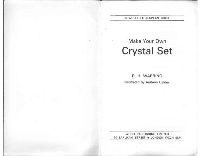### A WOLFE FOLDAPLAN BOOK

Make Your Own Make Your Own<br>Crystal Set **ystal S**<br>R. H. WARRING

R. H. WARRING<br>Illustrated by Andrew Calder

WOLFE PUBLISHING LIMITED 10 EARLHAM STREET . LONDON WC2H 9LP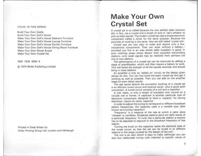### TITLES IN THIS SERIES:

Build Your Own Castle Build Your Own Doll's House Make Your Own Doll's House Bedroom Furniture Make Your Own Doll's House Lounge Furniture Make Your Own Doll's House Kitchen Furniture Make Your Own Doll's House Dining Room Furniture Make Your Own Morse Buzzer Make Your Own Crystal Set

### SBN 7234 0556 5

C 1974 Wolfe Publishing Limited

Printed in Great Britain by Oxley Printing Group Ltd, London and Edinburgh

# $\frac{2}{7}$

A crystal set is so called because the very earliest radio receivers<br>did, in fact, use a crystal and a length of wire or 'cat's whisker' to component called a *diode* for the same purpose. Because the principle of working is the same, they are still called 'crystal sets'. 2 - 10 - 11 - 11

provided you live in an area where radio reception is good. In<br>poor listening areas-those distant from powerful transmitting **Make Your Own**<br>
Crystal set is so called because the very earliest radio receivers<br>
A crystal set is so called because the very earliest radio receivers<br>
did, in fact, use a crystal and a length of wire or 'cat's whisker'

working as well as possible. Then you can add on the amplifier stage for even better results. An amplifier is only an 'added on' circuit, so the design given allows for this. You can first build the basic crystal set and get it working as well as possible. Then you can add on the amplifier stage for even better res

The real secret behind the successful working of a crystal set The real secret behind the successful working of a crysta<br>is an efficient *tuned circuit* and external *aerial*—plus a good i<br>connection. A tuned circuit consists of a *coil* and a *capacitor* orking as well as possible. Then you can add on the amplifier<br>ige for even better results.<br>The real secret behind the successful working of a crystal set<br>an efficient *tuned circuit* and external *aerial*—plus a good *eart* 

A coil, really, is only a length of insulated wire wound on a circular rod or former. A capacitor is another particular type of is an efficient *tuned circuit* and external *aerial*—plus a good *earth*<br>connection. A tuned circuit consists of a *coil* and a *capacitor*.<br>A coil, really, is only a length of insulated wire wound on a<br>circular rod or fo sircular rod or former. A capacitor<br>electronic component, designed to !<br>electricity—hence its name, capacitor A coll, realty, is only a length of insulated wile would be a<br>stroutar rod or former. A capacitor is another particular type of<br>electricity—hence its name, capacitor.<br>In order to adjust the tuning to correspond to differen

In order to adjust the tuning to correspond to different broadcast<br>In order to adjust the tuning to correspond to different broadcast<br>tion Trequencies, the capacitor used is a *variable* type (also<br>own as a tuning capacito In order to adjust the tuning<br>station Trequencies, the capa<br>known as a tuning capacitor).

known as a tuning capacitor).<br>'Frequency' is a measure of the rate at which a radio waves<br>'vibrates' or *oscillates*. Broadcast stations send out radio waves of station frequencies, the capacitor used is a *variable* type (also<br>known as a tuning capacitor).<br>"Frequency' is a measure of the rate at which a radio wave<br>vibrates' or *oscillates*. Broadcast stations sund out radio waves wibrates' or *oscillates*. Broadcast stations sund out radio waves of<br>a particular frequency. To tune into a particular station a receiver<br>has to be adjusted to respond to the *broadcast frequency* of that<br>station.<br>Turning has to be adjusted to respond to the *broadcast frequency* of that station.

is to be adjusted to respond to the *broadcast frequency* of that<br>tion.<br>Turning the knob on the capacitor varies the electrical state of<br>tions in the range covered by the design of the *coil.*<br>The coil is an item which is the tuned circuit, so that the set can be tuned in to different stations in the range covered by the design of the coil.<br>The coil is an item which is easy to make (although you can

also buy readymade tuning coils matched to specific values of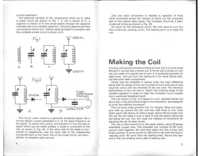tuning capacitors).

The electrical symbols of the components which go to make tuning capacitors),<br>The electrical symbols of the components which go to make<br>a tuned circuit are shown in Fig. 1. A coil is shown at A; a<br>capacitor is shown at B (the arrow drawn through the capacitor tuning capacitors).<br>
The electrical symbols of the components which go to make<br>
a tuned circuit are shown in Fig. 1. A coil is shown at A;<br>
capacitor is shown at B (the arrow drawn through the capacito<br>
indicates that it The electrical symbols of the components which go to make<br>a tuned circuit are shown in Fig. 1. A coil is shown at A; a<br>capacitor is shown at B (the arrow drawn through the capacitor<br>indicates that it is a variable capacito indicates that it is a *variable* capacitor). Co<br>connected as shown at C. Add an aerial a<br>the complete turned circuit is shown at D Fig.1<br>It is a *variable* capacitor). Coil and capacitor and<br>thown at C. Add an aerial and earth connectioned circuit is shown at D.<br>Fig.1



This circuit, when tuned to a particular broadcast signal, has a.<br>Ininute electric current generated in it, at the same frequency as<br>the signal. To *detect* this current, and transform it into the type of This circuit, when tuned to a particular broadcast signal, has a<br>minute electric current generated in it, at the same frequency as<br>the signal. To *detect* this current, and transform it into the type of<br>signal which can be This circuit, when tuned to a particular broadcast signal, has ininute electric current generated in it, at the same frequency as the signal. To *detect* this current, and transform it into the type of the signal which can minute electric current generated in it, at the same frequency as<br>the signal. To *detect* this current, and transform it into the type of<br>signal which can be made audible, a diode is connected to the<br>coil, as shown in Fig. signal which can be made audible, a diode is connected to the coil, as shown in Fig. 2A. If the other side of the diode is connected to headphones, and the other side of the headphones connected back to the 'earth' and of almost-a complete radio receiver.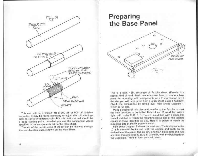





 $\begin{array}{ll} \text{This is a 5\frac{1}{2}in.}\times \text{3in.} \text{ rectangle of } \text{Paxolin sheet.} \text{ (Paxolin is a special kind of hard plastic, mode in sheet form, to use as a base.} \end{array}$ This is a 5<sup>1</sup><sub>2</sub>in. × 3in. rectangle of Paxolin sheet. (Paxolin is a<br>special kind of hard plastic, made in sheet form, to use as a base<br>panel for mounting radio components on.) If you cannot buy it special kind of hard plastic, made in sheet form, to use as a base<br>panel for mounting radio components on.) If you cannot buy it<br>this size you will have to cut from a larger sheet, using a hacksaw panel for mounting radio components on.) If you cannot buy it<br>this size you will have to cut from a larger sheet, using a hacksaw.<br>Check the dimensions by laying over Plan Sheet Diagram 1.<br>which is full size.<br>Make a tracin This is a bath.<br>special kind of h<br>panel for mount<br>this size you will<br>Check the dime<br>which is full size

fake a tracing of this plan and transfer to the Paxolin to mark<br>hole positions to be drilled. Holes A and B are drilled with a<br>n. drill. Holes C. D. E. F. G and H are drilled with a 3mm drill which is full size.<br>
Make a tracing of this plan and transfer to the Paxolin to mark<br>
the hole positions to be drilled. Holes A and B are drilled with a<br>
Hole J is drilled to match the mounting sleeve size of the variable Hole J is drilled to match the mounting sizeve size of the variable<br>capacitor (now identified as C1). Hole K is drilled to match the<br>mounting size of the 5K *potentiometer.*<br>Plan Sheet Diagram 2 shows the next step. The tu  $\frac{1}{k}$ gin, drill. Holes C, D, E, F, G and H are drilled with a 3mm drill.<br>Hole J is drilled to match the mounting sleeve size of the variable<br>capacitor (now identified as C1). Hole K is drilled to match the<br>mounting si

capacitor (now identified as C1). Hole K is drilled to match the<br>mounting size of the 5K *potentiometer*.<br>Plan Sheet Diagram 2 shows the next step. The tuning capacito<br>(C1) is mounted by its nut, with the spindle and knob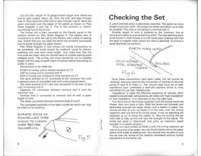Cut off a 6in. length of 16 gauge tinned copper wire. Bend one end at right angles, about 16 gauge tinned copper wire. Bend one<br>Than and at right angles, about عالية from the end, and pass through Cut off a 6in. length of 16 gauge tinned copper wire. Bend one<br>end at right angles, about £in. from the end, and pass through<br>hole A. Now bend the other end to pass through hole B. Bend the Cut off a 6in. length of 16 gauge tinned copper wire. Bend one<br>end at right angles, about  $\frac{1}{2}$ in, from the end, and pass through<br>hole A. Now bend the other end to pass through hole B. Bend the<br>spare wire back over the Cut off a 6in. length of 16 gauge tinned copper wire. Bend one<br>end at right angles, about  $\frac{1}{2}$ in, from the end, and pass through<br>hole A. Now bend the other end to pass through hole B. Bend the<br>spare wire back over th spare wire back over the eo<br>Sheet Diagram 3 and Fig.<br>connecting line of the circuit The A. Now bend the other end to pass through hole B. Bend the<br>tuning wire back over the edges of the panel, as shown on Plan<br>then Diagram 3 and Fig. 4. This is the common or 'earthy<br>meeting line of the circuit.<br>The tuning

connecting line of the circuit.<br>The tuning coil is then mounted on the Paxolin panel in the<br>position shown on Plan Sheet Diagram 4. The easiest way of Sheet Diagram 3 and Fig. 4. This is the common or 'earthy<br>connecting line of the circuit.<br>The tuning coil is then mounted on the Paxolin panel in the<br>position shown on Plan Sheet Diagram 4. The easiest way of<br>mounting is t connecting line of the circuit.<br>The tuning coil is then mounted on the Paxolin panel in the<br>position shown on Plan Sheet Diagram 4. The easiest way of<br>mounting is to stick the coil to the Paxolin with a blob of sealing<br>wax wax. Check that you can slide the ferrite rod smoothly backwards and forwards through the paper sleeve. Plan Shown on Plan Sheet Diagram 4. The easiest way of said to the Diagram 4. The easiest way of seating is to stick the coil to the Paxolin with a blob of seating the wiring connections of forwards through the paper sleev mounting is to stick the coil to the Paxolin with a blob of sealing<br>wax. Check that you can slide the ferrite rod smoothly backwards<br>and forwards through the paper sleeve.<br>Plan Sheet Diagram 5 now shows the *wiring connect* 

Plan Sheet Diagram 5 now shows the wiring connections to<br>be completed. All joints should be soldered, using an electric<br>soldering iron and resin-cored solder. Just make sure that the and forwards through the paper sleeve.<br>
Plan Sheet Diagram 5 now shows the *wiring connections* to<br>
be completed. All joints should be *soldered*, using an electric<br>
soldering iron and resin-cored solder. Just make sure th be completed. All joints should be *soldered*, using an electric<br>soldering iron and resin-cored solder. Just make sure that the<br>wire ends are clean, and you should have no trouble making good<br>soldered joints. The tuning co soldered joints. The tuning coil wires should be cut to suitable<br>langth and the ends scraped clean of enamel before attempting to<br>solder in place. Connecting their and really contained in the state of the state of the state of the state of the made are connections to be made are

iust in piace.<br>Connections to be made are :<br>START of tuning coil to nearest terminal on C1 Connections to be made are .<br>START of tuning coil to nearest term<br>TAP on tuning coil to terminal bolt D

TAP on tuning coil to terminal bolt D.<br>END of tuning coil winding to other terminal on C1.

Connections to be made are :<br>START of tuning coil to nearest terminal on C1,<br>TAP on tuning coil to terminal bolt D.<br>END of tuning coil winding to other terminal on C1.<br>The same terminal on C1 connected to the "common" line TAP on tuning coil to terminal bolt D.<br>FND of tuning coil winding to other terminal on C1.<br>The same terminal on C1 connected to the "common" line (use<br>separate piece of enamelled wire with ends scraped clean).<br>The other te

a separate piece of enamelled wire with ends scraped clean).<br>The other terminal of C1 (the one connected to the start of the coil) to terminal bolt C. END of tuning coil winding to other terminal on C1.<br>The same terminal on C1 connected to the "common" line (use<br>separate piece of enamelled wire with ends scraped clean).<br>The other terminal of C1 (the one connected to the The other terminal of C1 (the one connected to the start of the<br>il) to terminal bolt C.<br>Capacitor C2 connected between terminal bolt E and the<br>immon line.<br>Terminal bolt E connected to terminal bolt H with a spare

Capacitor C2 connected between terminal bolt E and the<br>'common' line.

common line<br>Terminal bi<br>length of wire length of wire.<br>The diode connected between terminal bolts D and E. The community of the basic completed between terminal bolt E and the<br>ominan line.<br>Terminal bolt E connected to terminal bolt H with a spare<br>ingth of wire.<br>The diode connected between terminal bolts D and E.<br>This completes

be tried out for working.



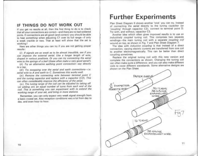## IF THINGS DO NOT WORK OUT

If you get no results at all, then the first thing to do is to check that all your connections are correct-and there are no bad soldered joints. If connections are all good (and correct) you should be able to hear something when adjusting C1 over its full range-if only a weak crackle or two. That at least will show that the set is working !

Here are other things you can try if you are not getting proper results:

(i) If signals are so weak as to be almost inaudible, see if you can improve the external aerial. Use a longer length of wire, draped in various positions. Or you can try connecting the aerial wire to the springs of a bed (these often make a very good aerial!)

(ii) Try an alternative earthing point connection-say directly to a tap.

(iii) Try swapping over the aerial and earth connections-i.e. aerial wire to A and earth to C. Sometimes this works well.

(iv) Remove the connecting wire between terminal point C and the tuning capacitor and replace with a capacitor (C3). This can often considerably improve the efficiency of the aerial.

(iv) The tuning range of the coil can be adjusted by taking off (or adding on) an equal number of turns from each end of the coil. This is something you can experiment with to extend the working range of your set, and bring in more stations.

Remember, you can only expect very weak signal strength from a basic crystal set. Also reception conditions vary a lot from day to day, and even hour to hour.

## **Further Experiments**

Plan Sheet Diagram 6 shows another 'trick' you can try. Instead of connecting the aerial directly to the tuning capacitor (or 'coupling' through capacitor C3), connect to terminal point D. Try with, and without, capacitor C3.

Another idea which often gives improved results is to use an inductively coupled tuning coil. This comprises two separate windings-the main tuning coil with a separate coupling coil wound on top, as shown in Fig. 7 and Plan Sheet Diagram 7.

The idea with inductive coupling is that instead of a direct connection, varying electric currents are transferred from one coil to another electromagnetically. This can be better than direct coupling sometimes.

Replace the original tuning coil with this new version and complete the connections as shown. Changing the tuning coil can often make quite a difference; and you can also make different coils to cover different wavebands. Some alternative designs are shown on the Plan Sheet.

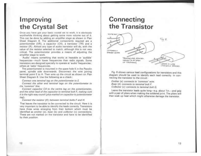# Improving<br>the Crystal Set Improving<br>the Crystal Set<br>Once you have got your basic crystal set to work. it is obviously

Once you have got your basic crystal set to work, it is obviously<br>worthwhile thinking about getting some more volume out of it<br>This can be done by adding an *amplifier stage* as shown in Plar<br>Sheet Diagram 8. The additiona Show you have got your basic crystal set to work. It is obviously<br>worthwhile thinking about getting some more volume out of it<br>This can be done by adding an *amplifier stage* as shown in Plan<br>Sheet Diagram 8. The additiona Once you have got your basic crystal set to work, it is obviously<br>worthwhile thinking about getting some more volume out of it<br>This can be done by adding an *amplifier stage* as shown in Plar<br>Sheet Diagram 8. The additiona This can be done by adding an *amplifier stage* as shown in Plar<br>Sheet Diagram 8. The additional components required are a<br>potentiometer (VR), a capacitor (C4), a transistor (TR) and a<br>resistor (R). Almost any type of aud potentiometer (VM), a<br>resistor (R). Almost an<br>value of the resistor se<br>critical. The potention<br>amplifier stage to work plifier stage to work.<br>Audio' means something that works at hearable or 'audible Frequencies-much lower frequencies a means of adjusting the<br>critical. The potentiometer provides a means of adjusting the<br>amplifier stage to work.<br>"Audio" means something that works at hearable or 'audible<br>requencies-much

Audio' means something that works at hearable or 'audible<br>requencies—much lower frequencies than radio signals. Some<br>transistors are designed specially to operate at 'audio' frequencies<br>others at 'radio' frequencies.<br>The p transistors are designed specially to operate at 'audio' frequencies;<br>others at 'radio' frequencies. Audio' means something that works at hearable or 'audible<br>quencies—much lower frequencies than radio signals. Some<br>nsistors are designed specially to operate at 'audio' frequencies<br>ters at 'radio' frequencies.<br>The potentio

transistors are designed specially to operate at 'audio' frequencies<br>others at 'radio' frequencies.<br>The potentiometer is mounted in the spare hole K in the Paxolir<br>panet, spindle side downwards. Disconnect the wire joining terminal point E to H. Then wire up the circuit as shown on Plan<br>Sheet Diagram 8. Use the following as a check: net, spindle side downwards. Disconnect the wire joining<br>minal point E to H. Then wire up the circuit as shown on Planeet Diagram 8. Use the following as a check:<br>Connect one terminal tag on the potentiometer to E.<br>Connect

Connect one terminal tag on the potentiometer to E.

Connect the other end terminal tags on the potentiometer to<br>the "common" line. Connect the other end terminal tags on the potentiometer t<br>e 'common' line.<br>Connect capacitor C4 to the centre tag on the potentiomete Connect one terminal tag on the potentiometer to E,<br>Connect the other end terminal tags on the potentiometer to<br>the "common" line.<br>Connect capacitor C4 to the centre tag on the potentiometer<br>and the other lead of the capac

Connect capacitor C4 to the centre tag on the potentiometer<br>and the other lead of the capacitor to terminal bolt F, making sun<br>it is the right way round (plus marked on capacitor to potentiometer) and the other lead of the capacitor to terminal bolt  $r$ , making sun<br>it is the right way round (plus marked on capacitor to potentiomete<br>lag).<br>Connect the resistor (R) between terminal bolts F and H.<br>That leaves the trans tag).<br>Connect the resistor (R) between terminal bolts F and H. Connect capacitor C4 to the centre tag on the potentiometer,<br>and the other lead of the capacitor to terminal bolt F, making sure<br>it is the right way round (plus marked on capacitor to potentiometer<br>tag).<br>Connect the resis

Connect the resistor (R) between terminal bolts F and H.<br>That leaves the transistor to be connected to the circuit. Here it is<br>very important to be able to identify the leads correctly. Transistor<br>have three wires emergin

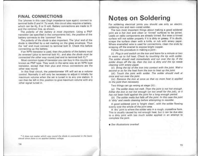## FINAL CONNECTIONS FINAL CONNECTIONS<br>The "phones in this case (high impedance type again) connect to

The "phones in this case (high impedance type again) connect to<br>terminal bolts *G and H.* To work, this circuit also requires a battery. **FINAL CONNECTIONS**<br>The "phones in this case (high impedance type again) connect to<br>terminal bolts *G and H*. To work, this circuit also requires a battery<br>which can be 4 $\frac{1}{2}$ , 6 or 9 volt. Battery connections are made terminal bolts  $G$  and  $H$ . To work, this circuit also requires a battery, which can be  $4\frac{1}{2}$ , 6 or 9 volt. Battery connections are made to H and the common line, as shown. **INAL CONNECTIONS**<br>e 'phones in this case (high impedance type again) connect to<br>minal bolts *G and H*. To work, this circuit also requires a battery<br>hich can be 41, 6 or 9 volt. Battery connections are made to be<br>d the co

and the common line, as shown.<br>The *polarity of the battery is most important.* Using a firansistor (as specified in the components list), the *positive* of ine *polarity of the battery is most*<br>transistor (as specified in the compon<br>battery connects to the *'common'* line The *polarity of the battery is most important*. Using a PNP<br>The *polarity of the battery is most important*. Using a PNP<br>transistor (as specified in the components list), the *positive* of the<br>battery connects to the *com* 

transistor (as specified in the components list), the *positive* of the<br>battery connects to the *'common'* line.<br>The *polarity* of the diode is also important. The 'plus' end of the<br>diode is identified by a red marking on the 'red' end must connect to terminal bolt D. Check this before connecting up the battery. The *polarity* of the diode is also important. The 'plus' end of the diode is identified by a red marking on the glass envelope. Thus the 'red' end must connect to terminal bolt D. Check this before connecting up the batt

If an NPN transistor is used, then the polarity of the battery must reversed (plus to terminal bolt H); and also the diode must be<br>If an NPN transistor is used, then the polarity of the battery must<br>reversed (plus to termi If an NPN transistor is used, then the polarity of the battery must<br>be reversed (plus to terminal bolt H); and also the diode must be<br>connected the other way round.(red end to terminal bolt E).\*<br>Most common types of trans

the reversed (plus to terminal bolt H); and also the diode must be<br>connected the other way round. (red end to terminal bolt E).<sup>\*</sup><br>Most common types of transistor you can buy in this country are<br>known as PNP type. They wor Most common types of transistor you can buy in this country are<br>known as PNP type. They work in the same way as an NPN type<br>transistor, except that their plus and minus connections are the<br>other way round.<br>In this final ci known as PNP type. They work in the same way as an NPN type transistor, except that their plus and minus connections are the other way round.<br>In this final circuit, the potentiometer VR will act as a *volume control*. Norm

shown as PNP type. They work in the same way as an NPN type<br>transistor, except that their plus and minus connections are the<br>other way round.<br>In this final circuit, the potentiometer VR will act as a *volume*<br>control. Norm control. Normally it will only be necessary to adjust it initially for can then be left in this position to give maximum volume with any<br>other signal tuned in.

**FINAL CONNECTIONS**<br>
The main based with the space and the control to the main of the space of the space of the space of the space of the space of the space of the space of the space of the space of the space of the space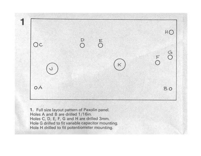

**1.** Full size layout pattern of Paxe<br>Holes A and B are drilled 1/16in. 1.Full size layout pattern of Paxolin panel.<br>Holes A and B are drilled 1/16in.<br>Holes C, D, E, F, G and H are drilled 3mm Holes A and B are drilled 1/16in.<br>Holes C, D, E, F, G and H are drilled 3mm.<br>Hole G drilled to fit variable capacitor mounting Hole H drilled to fit potentiometer mounting.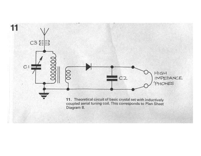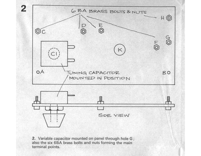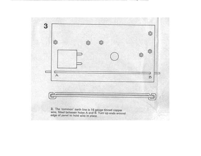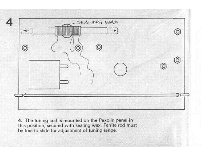

4. The tuning coil is mounted on the Paxolin panel in<br>this position, secured with sealing wax. Ferrite rod must be free to slide for adjustment of tuning range.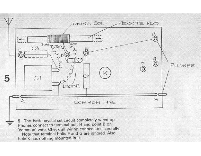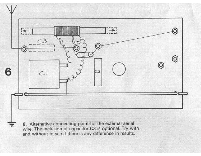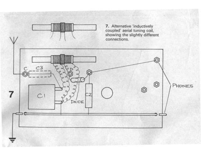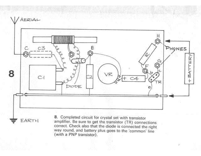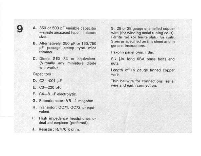9 A. 350 or 500 pF variable capacitor<br>single airspaced type, miniature —single airspaced type, miniature.<br>size. A. 350 or 500 pF variable capacitor<br>
- single airspaced type, miniature<br>
size.<br>
B. Alternatively, 250 pF or 150/750 350 or 500 pF variable capacitor<br>—single airspaced type, miniature<br>size,<br>Alternatively, 250 pF or 150/750<br>pF postage stamp type mica

- Alternat<br>pF pos<br>trimmer. B. Alternatively, 250 pF or 150/750<br>pF postage stamp type mica<br>trimmer.<br>C. Diode GEX 34 or equivalent.<br>(Virtually any miniature diode
- C. Diode GEX<br>(Virtually ar<br>will work.)<br>Capacitors:<br>D. C2---001 uF will work.)<br>Capacitors:

- **D.** C2- $-001 \mu$ F<br>**E.** C3-220 pF.
- 
- F.  $C4-8$   $\mu$ F electrolytic.
- F. C4—8 µF electrolytic.<br>G. Potentiometer: VR—1 megohm.
- g. Potentiometer: VR—1 megohm.<br>H. Transistor: OC71, OC72, or equi-H. Transistor: OC71, OC72, or equi-<br>valent.
- I. High impedance headphones or deaf aid earpiece (preferred).
- 

**A.** 350 or 500 pF variable capacitor **9.** 28 or 38 gauge enamelled copper-<br>
single airspaced type, miniature wire (for winding serial tuning coils),<br>
size, <br> **B.** Alternatively, 250 pF or 150/750 Sizes as specified on th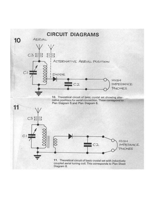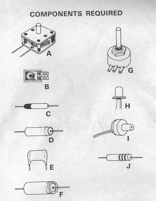# **COMPONENTS REQUIRED**

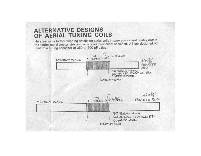## **ALTERNATIVE DESIGNS** OF AERIAL TUNING COILS

Here are some further winding details for aerial coils in case you cannot readily obtain the ferrite rod diameter size and wire sizes previously specified. All are designed to 'match' a tuning capacitor of 350 to 500 pF value.

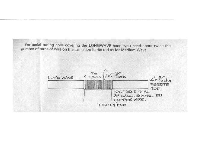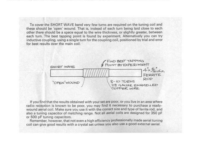To cover the SHORT WAVE band very few turns are required on the tuning coil and these should be 'open' wound. That is, instead of each turn being laid close to each<br>these should be 'open' wound. That is, instead of each turn being laid close to each To cover the SHORT WAVE band very few turns are required on the tuning coil and<br>these should be 'open' wound. That is, instead of each turn being laid close to each<br>other there should be a space equal to the wire thickness To cover the SHORT WAVE band very few turns are required on the tuning coil and<br>these should be 'open' wound. That is, instead of each turn being laid close to each<br>other there should be a space equal to the wire thickness other there should be a space equal to the wire thickness, or slightly greater, between<br>each turn. The best tapping point is found by experiment. Alternatively you can try<br>inductive coupling, using a single turn for the co inductive coupling, using a single turn for the coupling coil, positioned by trial and error



If you find that the results obtained with your set are poor, or you live in an area where<br>adio reception is known to be poor, you may find it necessary to purchase a ready If you find that the results obtained with your set are poor, or you live in an area where<br>radio reception is known to be poor, you may find it necessary to purchase a ready<br>wound aerial coil. Make sure you use it with the If you find that the results obtained with your set are poor, or you live in an area where<br>radio reception is known to be poor, you may find it necessary to purchase a ready-<br>wound aerial coil. Make sure you use it with th If you mid that the results obtained with your set ale poor, to you hve in an area where<br>radio reception is known to be poor, you may find it necessary to purchase a ready-<br>wound aerial coil. Make sure you use it with the wound aerial coil. Make sure you use it with the correct size and type of ferrite rod, and<br>also a tuning capacitor of matching range. Not all aerial coils are designed for 350 pF<br>or 500 pF tuning capacitors.<br>Remember, howe